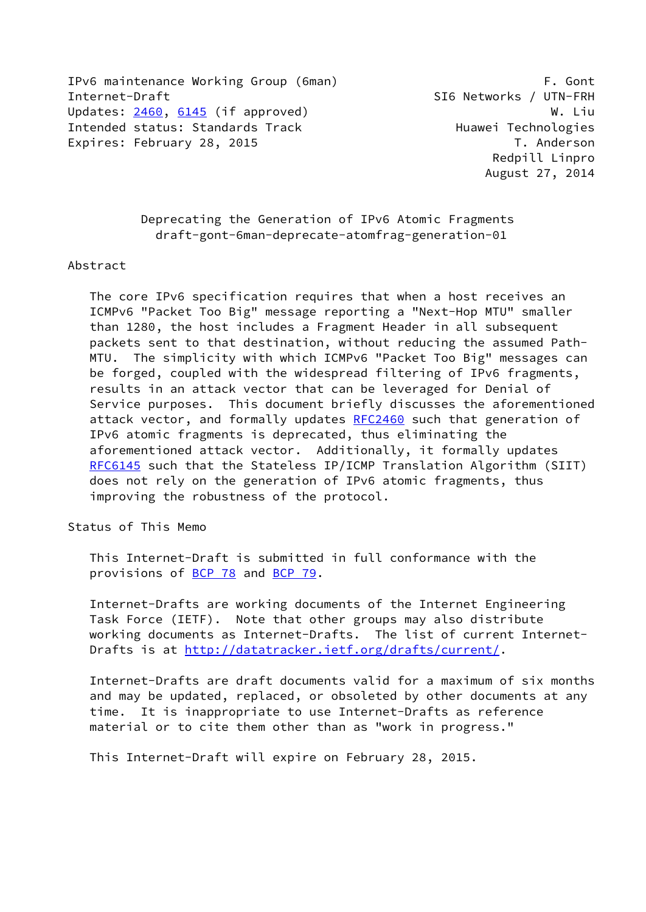IPv6 maintenance Working Group (6man) F. Gont Internet-Draft SI6 Networks / UTN-FRH Updates: [2460](https://datatracker.ietf.org/doc/pdf/rfc2460), [6145](https://datatracker.ietf.org/doc/pdf/rfc6145) (if approved) W. Liu Intended status: Standards Track Huawei Technologies Expires: February 28, 2015 **T.** Anderson

 Deprecating the Generation of IPv6 Atomic Fragments draft-gont-6man-deprecate-atomfrag-generation-01

#### Abstract

 The core IPv6 specification requires that when a host receives an ICMPv6 "Packet Too Big" message reporting a "Next-Hop MTU" smaller than 1280, the host includes a Fragment Header in all subsequent packets sent to that destination, without reducing the assumed Path- MTU. The simplicity with which ICMPv6 "Packet Too Big" messages can be forged, coupled with the widespread filtering of IPv6 fragments, results in an attack vector that can be leveraged for Denial of Service purposes. This document briefly discusses the aforementioned attack vector, and formally updates [RFC2460](https://datatracker.ietf.org/doc/pdf/rfc2460) such that generation of IPv6 atomic fragments is deprecated, thus eliminating the aforementioned attack vector. Additionally, it formally updates [RFC6145](https://datatracker.ietf.org/doc/pdf/rfc6145) such that the Stateless IP/ICMP Translation Algorithm (SIIT) does not rely on the generation of IPv6 atomic fragments, thus improving the robustness of the protocol.

Status of This Memo

 This Internet-Draft is submitted in full conformance with the provisions of [BCP 78](https://datatracker.ietf.org/doc/pdf/bcp78) and [BCP 79](https://datatracker.ietf.org/doc/pdf/bcp79).

 Internet-Drafts are working documents of the Internet Engineering Task Force (IETF). Note that other groups may also distribute working documents as Internet-Drafts. The list of current Internet- Drafts is at<http://datatracker.ietf.org/drafts/current/>.

 Internet-Drafts are draft documents valid for a maximum of six months and may be updated, replaced, or obsoleted by other documents at any time. It is inappropriate to use Internet-Drafts as reference material or to cite them other than as "work in progress."

This Internet-Draft will expire on February 28, 2015.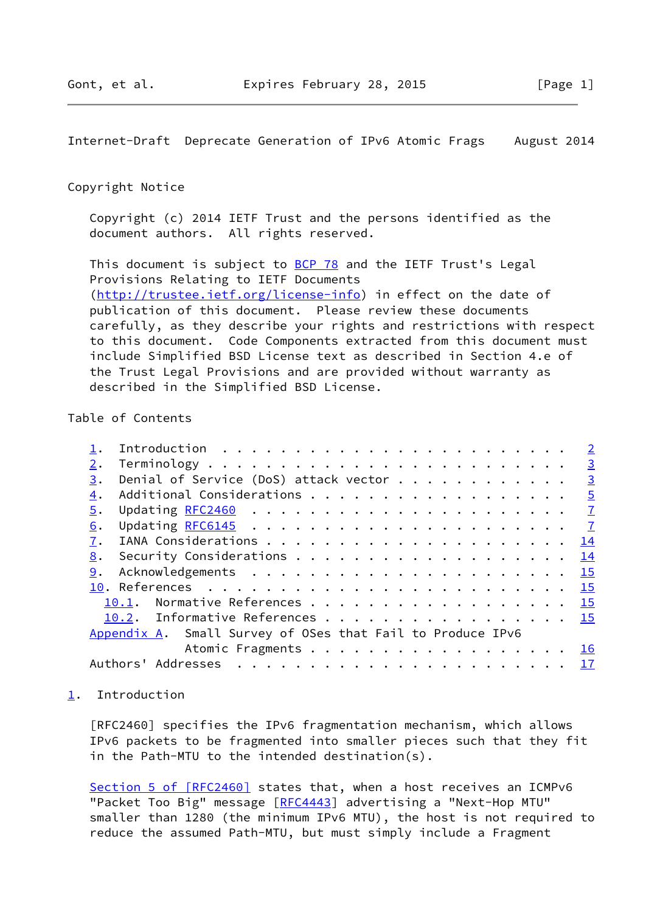### <span id="page-1-1"></span>Copyright Notice

 Copyright (c) 2014 IETF Trust and the persons identified as the document authors. All rights reserved.

This document is subject to **[BCP 78](https://datatracker.ietf.org/doc/pdf/bcp78)** and the IETF Trust's Legal Provisions Relating to IETF Documents [\(http://trustee.ietf.org/license-info](http://trustee.ietf.org/license-info)) in effect on the date of publication of this document. Please review these documents carefully, as they describe your rights and restrictions with respect to this document. Code Components extracted from this document must include Simplified BSD License text as described in Section 4.e of the Trust Legal Provisions and are provided without warranty as described in the Simplified BSD License.

# Table of Contents

|    |                                                            | $\overline{\phantom{0}}$ 2 |
|----|------------------------------------------------------------|----------------------------|
| 2. |                                                            |                            |
| 3. | Denial of Service (DoS) attack vector $\dots$              | $\frac{3}{2}$              |
| 4. | Additional Considerations 5                                |                            |
| 5. |                                                            |                            |
| 6. |                                                            |                            |
| 7. |                                                            | 14                         |
| 8. |                                                            |                            |
| 9. |                                                            |                            |
|    |                                                            |                            |
|    | 10.1. Normative References 15                              |                            |
|    | 10.2. Informative References 15                            |                            |
|    | Appendix A. Small Survey of OSes that Fail to Produce IPv6 |                            |
|    | Atomic Fragments 16                                        |                            |
|    |                                                            |                            |
|    |                                                            |                            |

# <span id="page-1-0"></span>[1](#page-1-0). Introduction

 [RFC2460] specifies the IPv6 fragmentation mechanism, which allows IPv6 packets to be fragmented into smaller pieces such that they fit in the Path-MTU to the intended destination(s).

Section [5 of \[RFC2460\]](https://datatracker.ietf.org/doc/pdf/rfc2460#section-5) states that, when a host receives an ICMPv6 "Packet Too Big" message [\[RFC4443](https://datatracker.ietf.org/doc/pdf/rfc4443)] advertising a "Next-Hop MTU" smaller than 1280 (the minimum IPv6 MTU), the host is not required to reduce the assumed Path-MTU, but must simply include a Fragment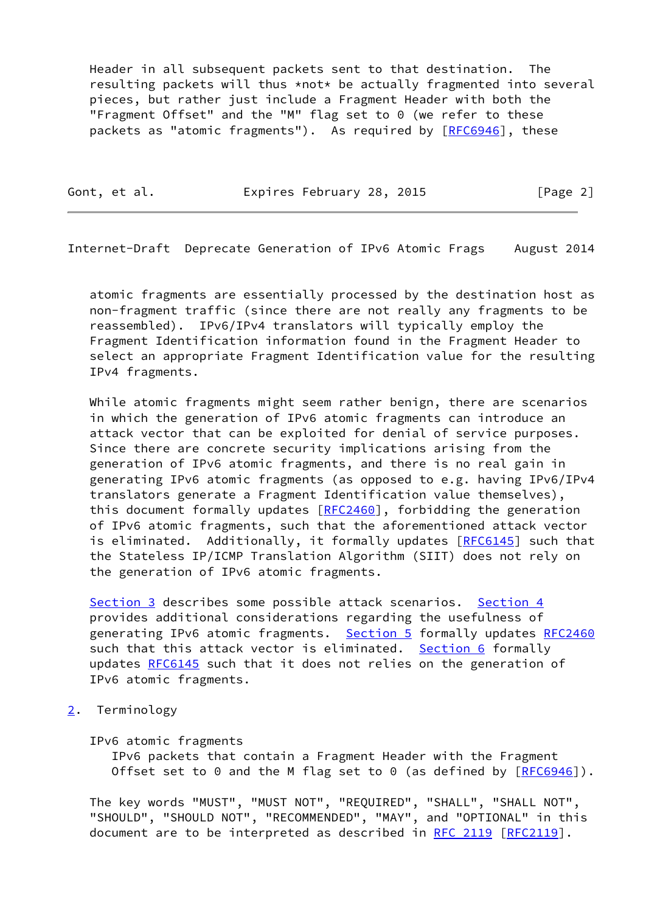Header in all subsequent packets sent to that destination. The resulting packets will thus \*not\* be actually fragmented into several pieces, but rather just include a Fragment Header with both the "Fragment Offset" and the "M" flag set to 0 (we refer to these packets as "atomic fragments"). As required by [\[RFC6946](https://datatracker.ietf.org/doc/pdf/rfc6946)], these

Gont, et al. Expires February 28, 2015 [Page 2]

<span id="page-2-1"></span>Internet-Draft Deprecate Generation of IPv6 Atomic Frags August 2014

 atomic fragments are essentially processed by the destination host as non-fragment traffic (since there are not really any fragments to be reassembled). IPv6/IPv4 translators will typically employ the Fragment Identification information found in the Fragment Header to select an appropriate Fragment Identification value for the resulting IPv4 fragments.

 While atomic fragments might seem rather benign, there are scenarios in which the generation of IPv6 atomic fragments can introduce an attack vector that can be exploited for denial of service purposes. Since there are concrete security implications arising from the generation of IPv6 atomic fragments, and there is no real gain in generating IPv6 atomic fragments (as opposed to e.g. having IPv6/IPv4 translators generate a Fragment Identification value themselves), this document formally updates [\[RFC2460](https://datatracker.ietf.org/doc/pdf/rfc2460)], forbidding the generation of IPv6 atomic fragments, such that the aforementioned attack vector is eliminated. Additionally, it formally updates [[RFC6145](https://datatracker.ietf.org/doc/pdf/rfc6145)] such that the Stateless IP/ICMP Translation Algorithm (SIIT) does not rely on the generation of IPv6 atomic fragments.

[Section 3](#page-3-0) describes some possible attack scenarios. [Section 4](#page-4-0) provides additional considerations regarding the usefulness of generating IPv6 atomic fragments. [Section 5](#page-6-0) formally updates [RFC2460](https://datatracker.ietf.org/doc/pdf/rfc2460) such that this attack vector is eliminated. [Section 6](#page-7-0) formally updates [RFC6145](https://datatracker.ietf.org/doc/pdf/rfc6145) such that it does not relies on the generation of IPv6 atomic fragments.

<span id="page-2-0"></span>[2](#page-2-0). Terminology

IPv6 atomic fragments

 IPv6 packets that contain a Fragment Header with the Fragment Offset set to 0 and the M flag set to 0 (as defined by  $[RECS946]$ ).

 The key words "MUST", "MUST NOT", "REQUIRED", "SHALL", "SHALL NOT", "SHOULD", "SHOULD NOT", "RECOMMENDED", "MAY", and "OPTIONAL" in this document are to be interpreted as described in [RFC 2119 \[RFC2119](https://datatracker.ietf.org/doc/pdf/rfc2119)].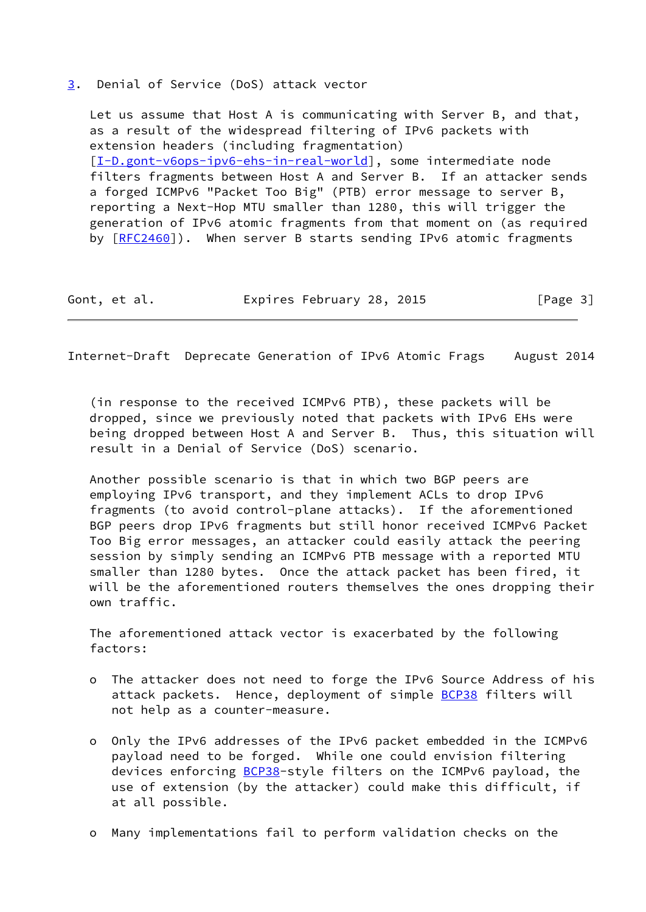#### <span id="page-3-0"></span>[3](#page-3-0). Denial of Service (DoS) attack vector

 Let us assume that Host A is communicating with Server B, and that, as a result of the widespread filtering of IPv6 packets with extension headers (including fragmentation) [\[I-D.gont-v6ops-ipv6-ehs-in-real-world](#page-17-2)], some intermediate node filters fragments between Host A and Server B. If an attacker sends a forged ICMPv6 "Packet Too Big" (PTB) error message to server B, reporting a Next-Hop MTU smaller than 1280, this will trigger the generation of IPv6 atomic fragments from that moment on (as required by  $[REC2460]$ ). When server B starts sending IPv6 atomic fragments

Gont, et al. Expires February 28, 2015 [Page 3]

Internet-Draft Deprecate Generation of IPv6 Atomic Frags August 2014

 (in response to the received ICMPv6 PTB), these packets will be dropped, since we previously noted that packets with IPv6 EHs were being dropped between Host A and Server B. Thus, this situation will result in a Denial of Service (DoS) scenario.

 Another possible scenario is that in which two BGP peers are employing IPv6 transport, and they implement ACLs to drop IPv6 fragments (to avoid control-plane attacks). If the aforementioned BGP peers drop IPv6 fragments but still honor received ICMPv6 Packet Too Big error messages, an attacker could easily attack the peering session by simply sending an ICMPv6 PTB message with a reported MTU smaller than 1280 bytes. Once the attack packet has been fired, it will be the aforementioned routers themselves the ones dropping their own traffic.

 The aforementioned attack vector is exacerbated by the following factors:

- o The attacker does not need to forge the IPv6 Source Address of his attack packets. Hence, deployment of simple **BCP38** filters will not help as a counter-measure.
- o Only the IPv6 addresses of the IPv6 packet embedded in the ICMPv6 payload need to be forged. While one could envision filtering devices enforcing **BCP38-style filters on the ICMPv6 payload**, the use of extension (by the attacker) could make this difficult, if at all possible.
- o Many implementations fail to perform validation checks on the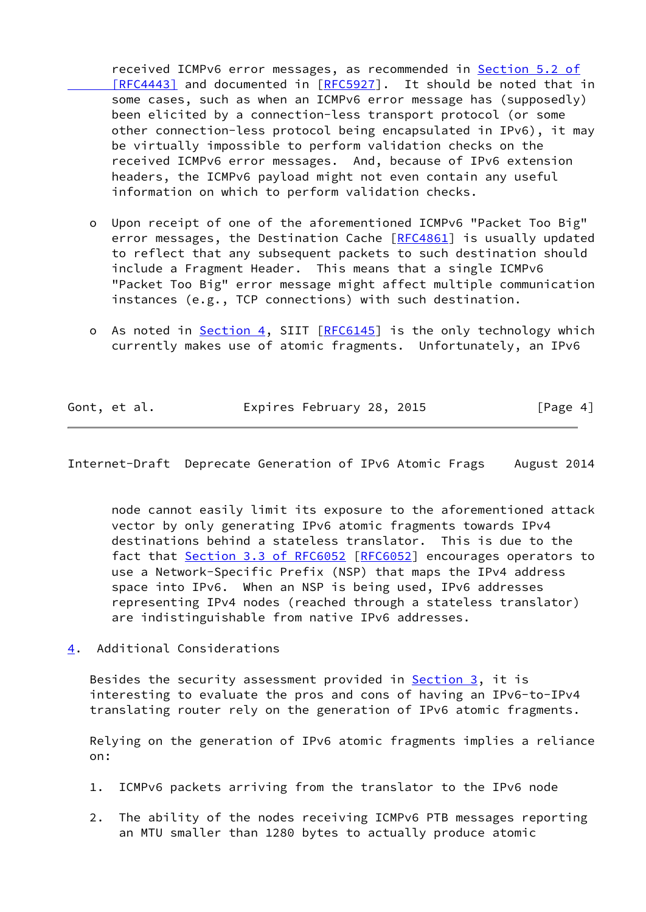received ICMPv6 error messages, as recommended in [Section](https://datatracker.ietf.org/doc/pdf/rfc4443#section-5.2) 5.2 of [RFC4443] and documented in [\[RFC5927](https://datatracker.ietf.org/doc/pdf/rfc5927)]. It should be noted that in some cases, such as when an ICMPv6 error message has (supposedly) been elicited by a connection-less transport protocol (or some other connection-less protocol being encapsulated in IPv6), it may be virtually impossible to perform validation checks on the received ICMPv6 error messages. And, because of IPv6 extension headers, the ICMPv6 payload might not even contain any useful information on which to perform validation checks.

- o Upon receipt of one of the aforementioned ICMPv6 "Packet Too Big" error messages, the Destination Cache [\[RFC4861](https://datatracker.ietf.org/doc/pdf/rfc4861)] is usually updated to reflect that any subsequent packets to such destination should include a Fragment Header. This means that a single ICMPv6 "Packet Too Big" error message might affect multiple communication instances (e.g., TCP connections) with such destination.
- o As noted in [Section 4,](#page-4-0) SIIT [\[RFC6145](https://datatracker.ietf.org/doc/pdf/rfc6145)] is the only technology which currently makes use of atomic fragments. Unfortunately, an IPv6

| Gont, et al. | Expires February 28, 2015 |  | [Page 4] |
|--------------|---------------------------|--|----------|
|              |                           |  |          |

<span id="page-4-1"></span>Internet-Draft Deprecate Generation of IPv6 Atomic Frags August 2014

 node cannot easily limit its exposure to the aforementioned attack vector by only generating IPv6 atomic fragments towards IPv4 destinations behind a stateless translator. This is due to the fact that Section [3.3 of RFC6052](https://datatracker.ietf.org/doc/pdf/rfc6052#section-3.3) [\[RFC6052](https://datatracker.ietf.org/doc/pdf/rfc6052)] encourages operators to use a Network-Specific Prefix (NSP) that maps the IPv4 address space into IPv6. When an NSP is being used, IPv6 addresses representing IPv4 nodes (reached through a stateless translator) are indistinguishable from native IPv6 addresses.

<span id="page-4-0"></span>[4](#page-4-0). Additional Considerations

Besides the security assessment provided in  $Section 3$ , it is interesting to evaluate the pros and cons of having an IPv6-to-IPv4 translating router rely on the generation of IPv6 atomic fragments.

 Relying on the generation of IPv6 atomic fragments implies a reliance on:

- 1. ICMPv6 packets arriving from the translator to the IPv6 node
- 2. The ability of the nodes receiving ICMPv6 PTB messages reporting an MTU smaller than 1280 bytes to actually produce atomic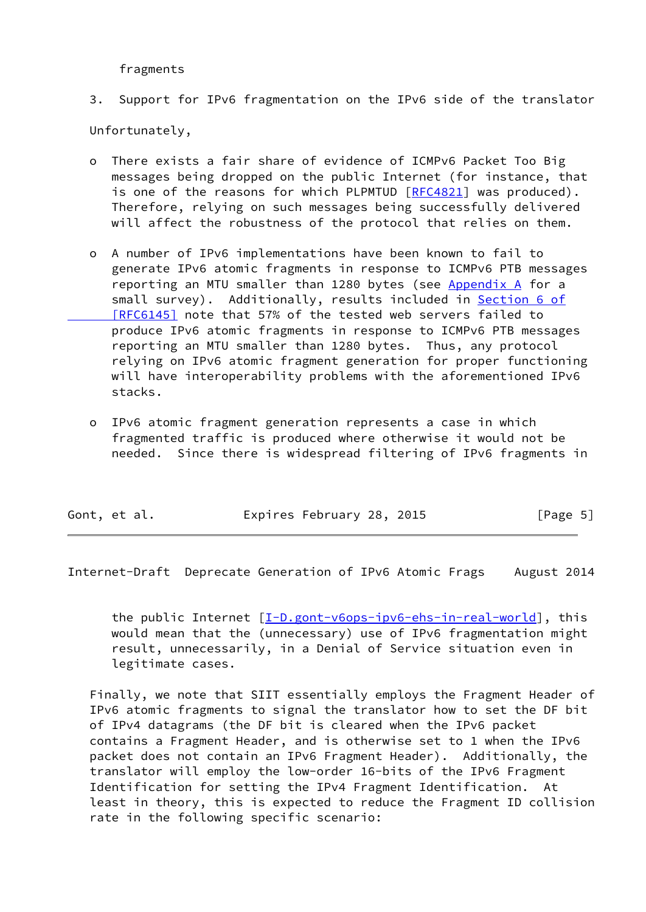fragments

3. Support for IPv6 fragmentation on the IPv6 side of the translator

Unfortunately,

- There exists a fair share of evidence of ICMPv6 Packet Too Big messages being dropped on the public Internet (for instance, that is one of the reasons for which PLPMTUD  $[REC4821]$  was produced). Therefore, relying on such messages being successfully delivered will affect the robustness of the protocol that relies on them.
- o A number of IPv6 implementations have been known to fail to generate IPv6 atomic fragments in response to ICMPv6 PTB messages reporting an MTU smaller than 1280 bytes (see [Appendix A](#page-17-0) for a small survey). Additionally, results included in [Section](https://datatracker.ietf.org/doc/pdf/rfc6145#section-6) 6 of  [\[RFC6145\]](https://datatracker.ietf.org/doc/pdf/rfc6145#section-6) note that 57% of the tested web servers failed to produce IPv6 atomic fragments in response to ICMPv6 PTB messages reporting an MTU smaller than 1280 bytes. Thus, any protocol relying on IPv6 atomic fragment generation for proper functioning will have interoperability problems with the aforementioned IPv6 stacks.
- o IPv6 atomic fragment generation represents a case in which fragmented traffic is produced where otherwise it would not be needed. Since there is widespread filtering of IPv6 fragments in

| Expires February 28, 2015<br>Gont, et al. | [Page 5] |
|-------------------------------------------|----------|
|-------------------------------------------|----------|

Internet-Draft Deprecate Generation of IPv6 Atomic Frags August 2014

the public Internet [\[I-D.gont-v6ops-ipv6-ehs-in-real-world](#page-17-2)], this would mean that the (unnecessary) use of IPv6 fragmentation might result, unnecessarily, in a Denial of Service situation even in legitimate cases.

 Finally, we note that SIIT essentially employs the Fragment Header of IPv6 atomic fragments to signal the translator how to set the DF bit of IPv4 datagrams (the DF bit is cleared when the IPv6 packet contains a Fragment Header, and is otherwise set to 1 when the IPv6 packet does not contain an IPv6 Fragment Header). Additionally, the translator will employ the low-order 16-bits of the IPv6 Fragment Identification for setting the IPv4 Fragment Identification. At least in theory, this is expected to reduce the Fragment ID collision rate in the following specific scenario: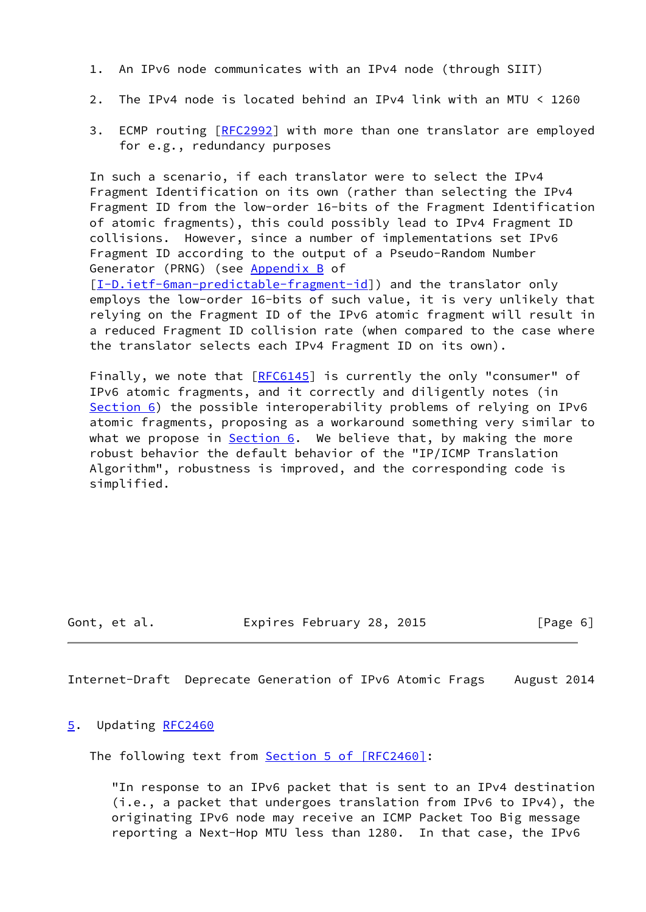- 1. An IPv6 node communicates with an IPv4 node (through SIIT)
- 2. The IPv4 node is located behind an IPv4 link with an MTU < 1260
- 3. ECMP routing [\[RFC2992](https://datatracker.ietf.org/doc/pdf/rfc2992)] with more than one translator are employed for e.g., redundancy purposes

 In such a scenario, if each translator were to select the IPv4 Fragment Identification on its own (rather than selecting the IPv4 Fragment ID from the low-order 16-bits of the Fragment Identification of atomic fragments), this could possibly lead to IPv4 Fragment ID collisions. However, since a number of implementations set IPv6 Fragment ID according to the output of a Pseudo-Random Number Generator (PRNG) (see Appendix B of [\[I-D.ietf-6man-predictable-fragment-id](#page-17-3)]) and the translator only

 employs the low-order 16-bits of such value, it is very unlikely that relying on the Fragment ID of the IPv6 atomic fragment will result in a reduced Fragment ID collision rate (when compared to the case where the translator selects each IPv4 Fragment ID on its own).

Finally, we note that [[RFC6145](https://datatracker.ietf.org/doc/pdf/rfc6145)] is currently the only "consumer" of IPv6 atomic fragments, and it correctly and diligently notes (in [Section 6](#page-7-0)) the possible interoperability problems of relying on IPv6 atomic fragments, proposing as a workaround something very similar to what we propose in  $Section 6$ . We believe that, by making the more robust behavior the default behavior of the "IP/ICMP Translation Algorithm", robustness is improved, and the corresponding code is simplified.

Gont, et al. **Expires February 28, 2015** [Page 6]

<span id="page-6-1"></span>Internet-Draft Deprecate Generation of IPv6 Atomic Frags August 2014

### <span id="page-6-0"></span>[5](#page-6-0). Updating [RFC2460](https://datatracker.ietf.org/doc/pdf/rfc2460)

The following text from Section [5 of \[RFC2460\]](https://datatracker.ietf.org/doc/pdf/rfc2460#section-5):

 "In response to an IPv6 packet that is sent to an IPv4 destination (i.e., a packet that undergoes translation from IPv6 to IPv4), the originating IPv6 node may receive an ICMP Packet Too Big message reporting a Next-Hop MTU less than 1280. In that case, the IPv6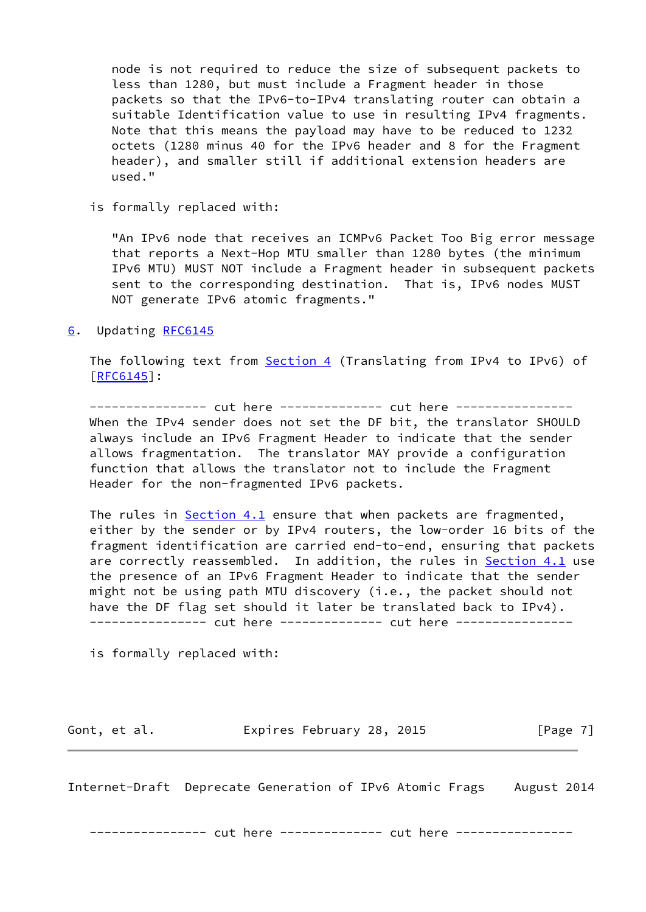node is not required to reduce the size of subsequent packets to less than 1280, but must include a Fragment header in those packets so that the IPv6-to-IPv4 translating router can obtain a suitable Identification value to use in resulting IPv4 fragments. Note that this means the payload may have to be reduced to 1232 octets (1280 minus 40 for the IPv6 header and 8 for the Fragment header), and smaller still if additional extension headers are used."

is formally replaced with:

 "An IPv6 node that receives an ICMPv6 Packet Too Big error message that reports a Next-Hop MTU smaller than 1280 bytes (the minimum IPv6 MTU) MUST NOT include a Fragment header in subsequent packets sent to the corresponding destination. That is, IPv6 nodes MUST NOT generate IPv6 atomic fragments."

### <span id="page-7-0"></span>[6](#page-7-0). Updating [RFC6145](https://datatracker.ietf.org/doc/pdf/rfc6145)

The following text from [Section 4](#page-4-0) (Translating from IPv4 to IPv6) of [\[RFC6145](https://datatracker.ietf.org/doc/pdf/rfc6145)]:

---------------- cut here -------------- cut here ---------------- When the IPv4 sender does not set the DF bit, the translator SHOULD always include an IPv6 Fragment Header to indicate that the sender allows fragmentation. The translator MAY provide a configuration function that allows the translator not to include the Fragment Header for the non-fragmented IPv6 packets.

The rules in Section 4.1 ensure that when packets are fragmented, either by the sender or by IPv4 routers, the low-order 16 bits of the fragment identification are carried end-to-end, ensuring that packets are correctly reassembled. In addition, the rules in **Section 4.1** use the presence of an IPv6 Fragment Header to indicate that the sender might not be using path MTU discovery (i.e., the packet should not have the DF flag set should it later be translated back to IPv4). --------------- cut here ------------- cut here ----------------

is formally replaced with:

Gont, et al. **Expires February 28, 2015** [Page 7]

Internet-Draft Deprecate Generation of IPv6 Atomic Frags August 2014

---------------- cut here -------------- cut here ----------------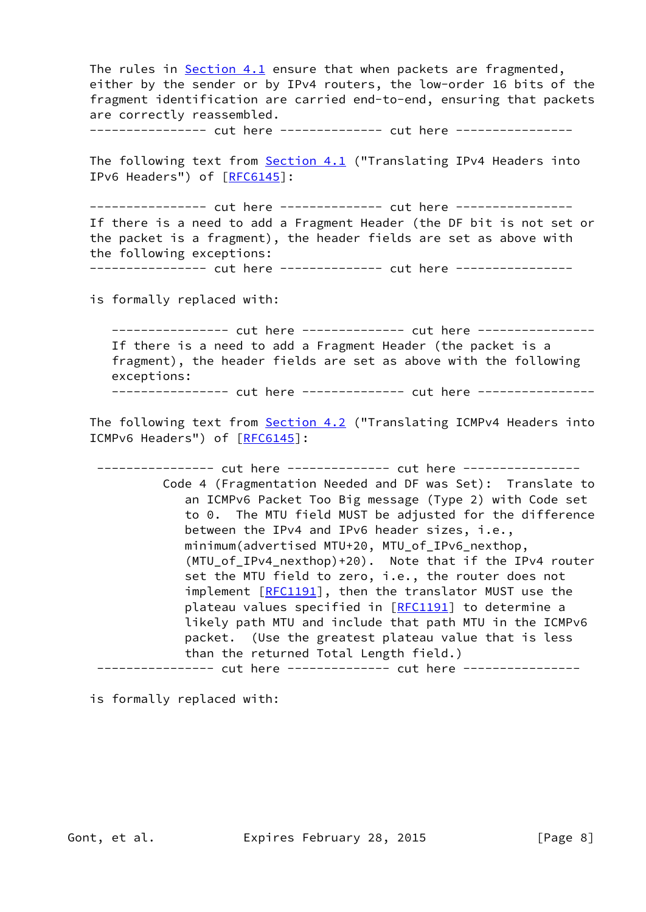The rules in Section 4.1 ensure that when packets are fragmented, either by the sender or by IPv4 routers, the low-order 16 bits of the fragment identification are carried end-to-end, ensuring that packets are correctly reassembled.

---------------- cut here -------------- cut here ----------------

The following text from **Section 4.1** ("Translating IPv4 Headers into IPv6 Headers") of [[RFC6145](https://datatracker.ietf.org/doc/pdf/rfc6145)]:

--------------- cut here ------------- cut here ---------------- If there is a need to add a Fragment Header (the DF bit is not set or the packet is a fragment), the header fields are set as above with the following exceptions:

---------------- cut here -------------- cut here ----------------

is formally replaced with:

--------------- cut here ------------- cut here ---------------- If there is a need to add a Fragment Header (the packet is a fragment), the header fields are set as above with the following exceptions:

--------------- cut here ------------- cut here ----------------

The following text from **Section 4.2** ("Translating ICMPv4 Headers into ICMPv6 Headers") of [\[RFC6145](https://datatracker.ietf.org/doc/pdf/rfc6145)]:

--------------- cut here ------------- cut here --------------- Code 4 (Fragmentation Needed and DF was Set): Translate to an ICMPv6 Packet Too Big message (Type 2) with Code set to 0. The MTU field MUST be adjusted for the difference between the IPv4 and IPv6 header sizes, i.e., minimum(advertised MTU+20, MTU\_of\_IPv6\_nexthop, (MTU\_of\_IPv4\_nexthop)+20). Note that if the IPv4 router set the MTU field to zero, i.e., the router does not implement [\[RFC1191](https://datatracker.ietf.org/doc/pdf/rfc1191)], then the translator MUST use the plateau values specified in [\[RFC1191](https://datatracker.ietf.org/doc/pdf/rfc1191)] to determine a likely path MTU and include that path MTU in the ICMPv6 packet. (Use the greatest plateau value that is less than the returned Total Length field.) --------------- cut here -------------- cut here ----------------

is formally replaced with: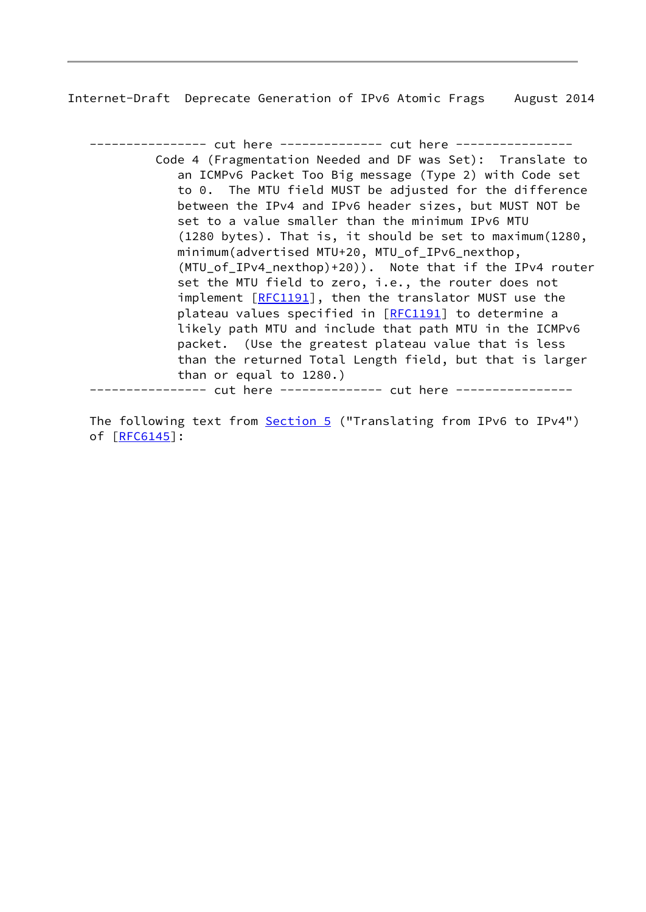---------------- cut here -------------- cut here ---------------- Code 4 (Fragmentation Needed and DF was Set): Translate to an ICMPv6 Packet Too Big message (Type 2) with Code set to 0. The MTU field MUST be adjusted for the difference between the IPv4 and IPv6 header sizes, but MUST NOT be set to a value smaller than the minimum IPv6 MTU (1280 bytes). That is, it should be set to maximum(1280, minimum(advertised MTU+20, MTU\_of\_IPv6\_nexthop, (MTU\_of\_IPv4\_nexthop)+20)). Note that if the IPv4 router set the MTU field to zero, i.e., the router does not implement [[RFC1191](https://datatracker.ietf.org/doc/pdf/rfc1191)], then the translator MUST use the plateau values specified in [\[RFC1191](https://datatracker.ietf.org/doc/pdf/rfc1191)] to determine a likely path MTU and include that path MTU in the ICMPv6 packet. (Use the greatest plateau value that is less than the returned Total Length field, but that is larger than or equal to 1280.) ----------- cut here -------------- cut here ----------------

The following text from **Section 5** ("Translating from IPv6 to IPv4") of [[RFC6145\]](https://datatracker.ietf.org/doc/pdf/rfc6145):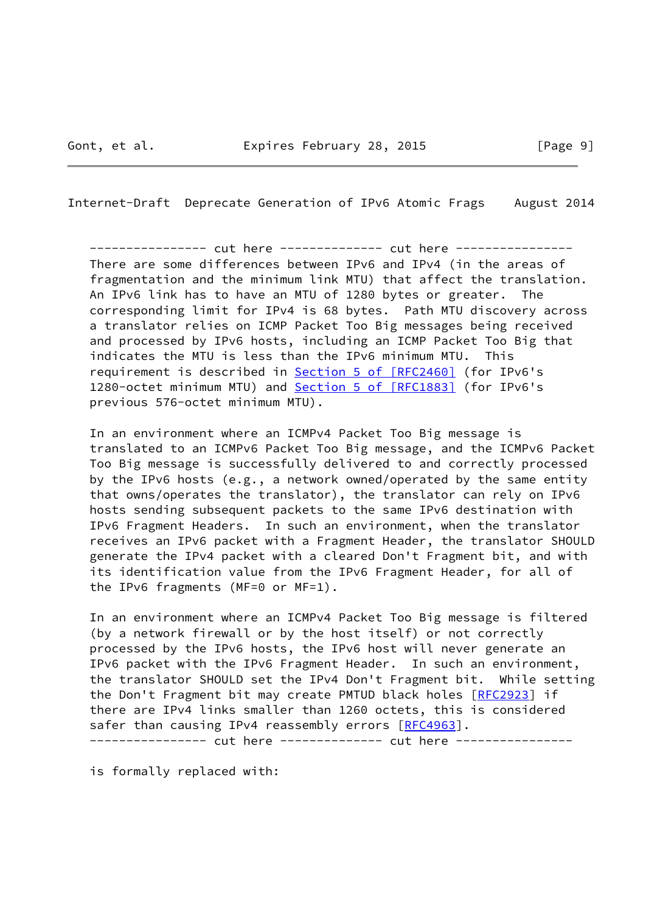--------------- cut here ------------- cut here ---------------- There are some differences between IPv6 and IPv4 (in the areas of fragmentation and the minimum link MTU) that affect the translation. An IPv6 link has to have an MTU of 1280 bytes or greater. The corresponding limit for IPv4 is 68 bytes. Path MTU discovery across a translator relies on ICMP Packet Too Big messages being received and processed by IPv6 hosts, including an ICMP Packet Too Big that indicates the MTU is less than the IPv6 minimum MTU. This requirement is described in Section [5 of \[RFC2460\]](https://datatracker.ietf.org/doc/pdf/rfc2460#section-5) (for IPv6's 1280-octet minimum MTU) and Section [5 of \[RFC1883\]](https://datatracker.ietf.org/doc/pdf/rfc1883#section-5) (for IPv6's previous 576-octet minimum MTU).

 In an environment where an ICMPv4 Packet Too Big message is translated to an ICMPv6 Packet Too Big message, and the ICMPv6 Packet Too Big message is successfully delivered to and correctly processed by the IPv6 hosts (e.g., a network owned/operated by the same entity that owns/operates the translator), the translator can rely on IPv6 hosts sending subsequent packets to the same IPv6 destination with IPv6 Fragment Headers. In such an environment, when the translator receives an IPv6 packet with a Fragment Header, the translator SHOULD generate the IPv4 packet with a cleared Don't Fragment bit, and with its identification value from the IPv6 Fragment Header, for all of the IPv6 fragments (MF=0 or MF=1).

 In an environment where an ICMPv4 Packet Too Big message is filtered (by a network firewall or by the host itself) or not correctly processed by the IPv6 hosts, the IPv6 host will never generate an IPv6 packet with the IPv6 Fragment Header. In such an environment, the translator SHOULD set the IPv4 Don't Fragment bit. While setting the Don't Fragment bit may create PMTUD black holes [\[RFC2923](https://datatracker.ietf.org/doc/pdf/rfc2923)] if there are IPv4 links smaller than 1260 octets, this is considered safer than causing IPv4 reassembly errors [[RFC4963](https://datatracker.ietf.org/doc/pdf/rfc4963)]. ---------------- cut here -------------- cut here ----------------

is formally replaced with: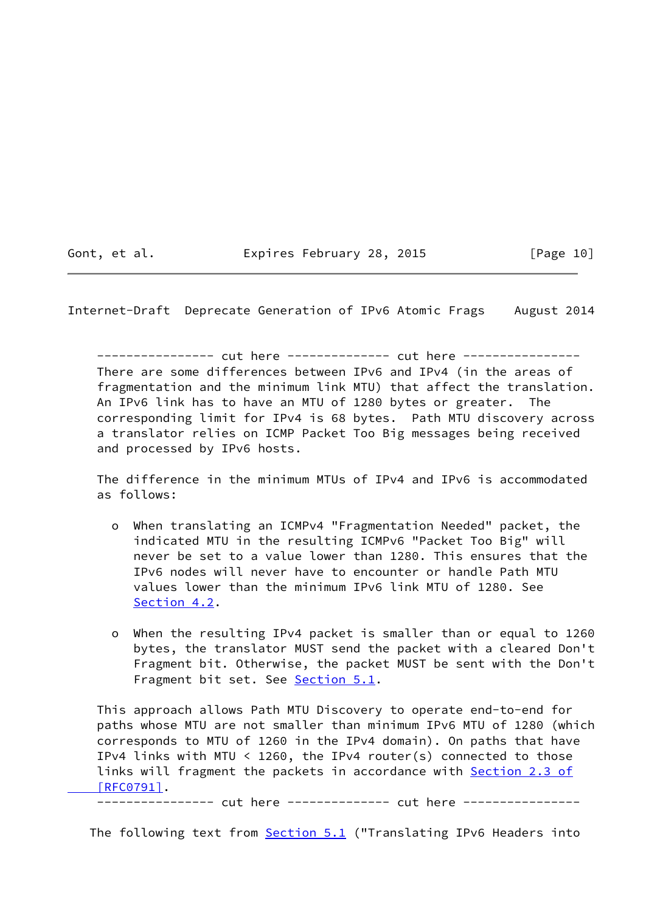Gont, et al. Expires February 28, 2015 [Page 10]

Internet-Draft Deprecate Generation of IPv6 Atomic Frags August 2014

---------------- cut here -------------- cut here ---------------- There are some differences between IPv6 and IPv4 (in the areas of fragmentation and the minimum link MTU) that affect the translation. An IPv6 link has to have an MTU of 1280 bytes or greater. The corresponding limit for IPv4 is 68 bytes. Path MTU discovery across a translator relies on ICMP Packet Too Big messages being received and processed by IPv6 hosts.

 The difference in the minimum MTUs of IPv4 and IPv6 is accommodated as follows:

- o When translating an ICMPv4 "Fragmentation Needed" packet, the indicated MTU in the resulting ICMPv6 "Packet Too Big" will never be set to a value lower than 1280. This ensures that the IPv6 nodes will never have to encounter or handle Path MTU values lower than the minimum IPv6 link MTU of 1280. See Section 4.2.
- o When the resulting IPv4 packet is smaller than or equal to 1260 bytes, the translator MUST send the packet with a cleared Don't Fragment bit. Otherwise, the packet MUST be sent with the Don't Fragment bit set. See Section 5.1.

 This approach allows Path MTU Discovery to operate end-to-end for paths whose MTU are not smaller than minimum IPv6 MTU of 1280 (which corresponds to MTU of 1260 in the IPv4 domain). On paths that have IPv4 links with MTU < 1260, the IPv4 router(s) connected to those links will fragment the packets in accordance with [Section](https://datatracker.ietf.org/doc/pdf/rfc0791#section-2.3) 2.3 of  [\[RFC0791\]](https://datatracker.ietf.org/doc/pdf/rfc0791#section-2.3).

---------------- cut here ------------- cut here ----------------

The following text from **Section 5.1** ("Translating IPv6 Headers into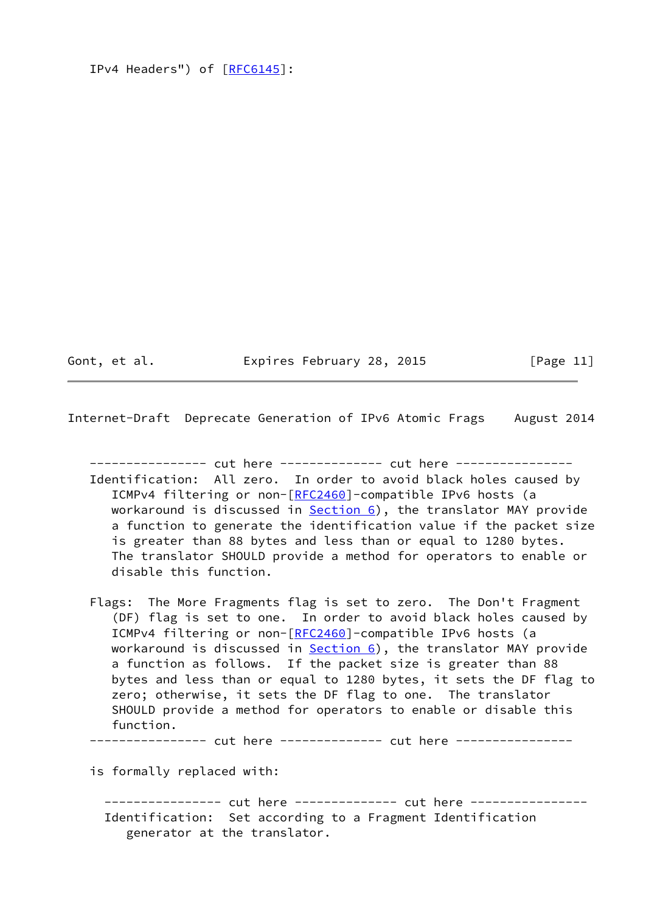```
RFC6145]:
```
Gont, et al. Expires February 28, 2015 [Page 11]

Internet-Draft Deprecate Generation of IPv6 Atomic Frags August 2014

---------------- cut here -------------- cut here ---------------- Identification: All zero. In order to avoid black holes caused by ICMPv4 filtering or non-[[RFC2460\]](https://datatracker.ietf.org/doc/pdf/rfc2460)-compatible IPv6 hosts (a workaround is discussed in  $Section 6$ , the translator MAY provide a function to generate the identification value if the packet size is greater than 88 bytes and less than or equal to 1280 bytes. The translator SHOULD provide a method for operators to enable or disable this function.

 Flags: The More Fragments flag is set to zero. The Don't Fragment (DF) flag is set to one. In order to avoid black holes caused by ICMPv4 filtering or non-[[RFC2460\]](https://datatracker.ietf.org/doc/pdf/rfc2460)-compatible IPv6 hosts (a workaround is discussed in  $Section 6$ , the translator MAY provide a function as follows. If the packet size is greater than 88 bytes and less than or equal to 1280 bytes, it sets the DF flag to zero; otherwise, it sets the DF flag to one. The translator SHOULD provide a method for operators to enable or disable this function.

---------------- cut here -------------- cut here ----------------

is formally replaced with:

---------------- cut here -------------- cut here ---------------- Identification: Set according to a Fragment Identification generator at the translator.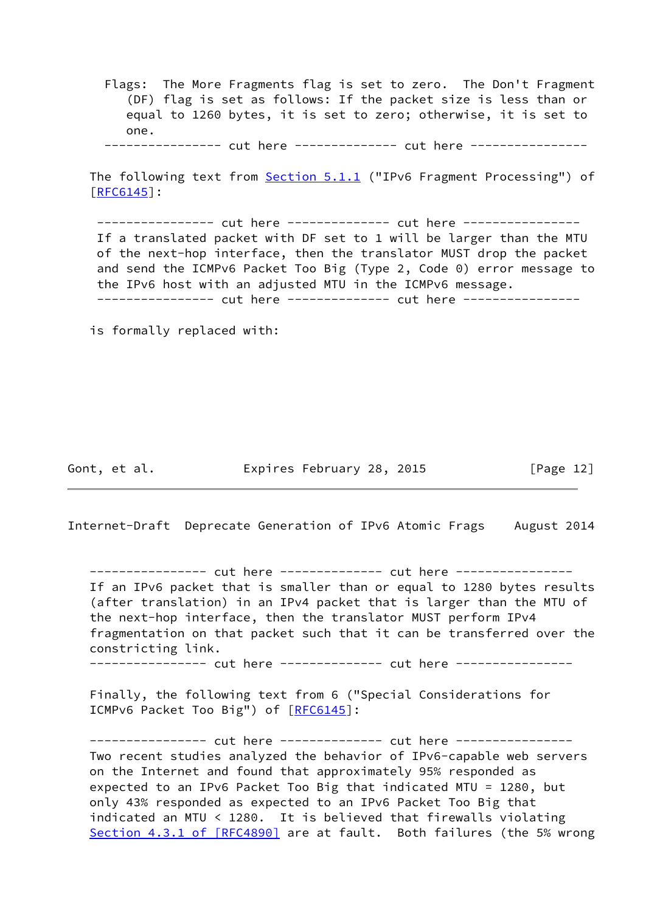Flags: The More Fragments flag is set to zero. The Don't Fragment (DF) flag is set as follows: If the packet size is less than or equal to 1260 bytes, it is set to zero; otherwise, it is set to one. ---------------- cut here -------------- cut here ----------------

The following text from **Section 5.1.1** ("IPv6 Fragment Processing") of [\[RFC6145](https://datatracker.ietf.org/doc/pdf/rfc6145)]:

---------------- cut here -------------- cut here ---------------- If a translated packet with DF set to 1 will be larger than the MTU of the next-hop interface, then the translator MUST drop the packet and send the ICMPv6 Packet Too Big (Type 2, Code 0) error message to the IPv6 host with an adjusted MTU in the ICMPv6 message. ---------------- cut here ------------- cut here ----------------

is formally replaced with:

Gont, et al. **Expires February 28, 2015** [Page 12]

Internet-Draft Deprecate Generation of IPv6 Atomic Frags August 2014

---------------- cut here -------------- cut here ---------------- If an IPv6 packet that is smaller than or equal to 1280 bytes results (after translation) in an IPv4 packet that is larger than the MTU of the next-hop interface, then the translator MUST perform IPv4 fragmentation on that packet such that it can be transferred over the constricting link.

---------------- cut here ------------- cut here ----------------

 Finally, the following text from 6 ("Special Considerations for ICMPv6 Packet Too Big") of [[RFC6145\]](https://datatracker.ietf.org/doc/pdf/rfc6145):

---------------- cut here -------------- cut here ---------------- Two recent studies analyzed the behavior of IPv6-capable web servers on the Internet and found that approximately 95% responded as expected to an IPv6 Packet Too Big that indicated MTU = 1280, but only 43% responded as expected to an IPv6 Packet Too Big that indicated an MTU < 1280. It is believed that firewalls violating Section [4.3.1 of \[RFC4890\]](https://datatracker.ietf.org/doc/pdf/rfc4890#section-4.3.1) are at fault. Both failures (the 5% wrong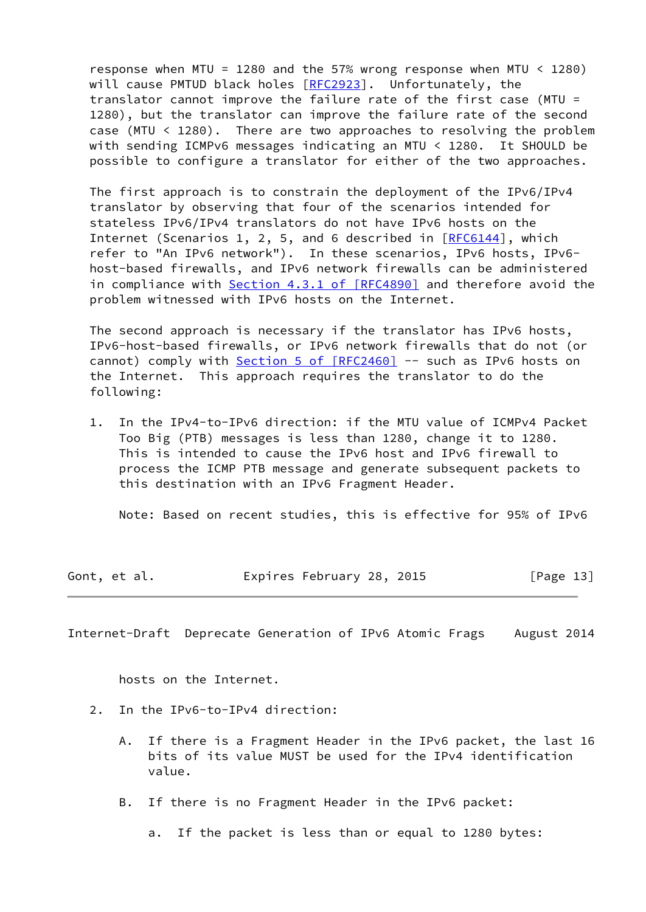response when MTU = 1280 and the 57% wrong response when MTU < 1280) will cause PMTUD black holes [\[RFC2923](https://datatracker.ietf.org/doc/pdf/rfc2923)]. Unfortunately, the translator cannot improve the failure rate of the first case (MTU = 1280), but the translator can improve the failure rate of the second case (MTU < 1280). There are two approaches to resolving the problem with sending ICMPv6 messages indicating an MTU < 1280. It SHOULD be possible to configure a translator for either of the two approaches.

 The first approach is to constrain the deployment of the IPv6/IPv4 translator by observing that four of the scenarios intended for stateless IPv6/IPv4 translators do not have IPv6 hosts on the Internet (Scenarios 1, 2, 5, and 6 described in [\[RFC6144](https://datatracker.ietf.org/doc/pdf/rfc6144)], which refer to "An IPv6 network"). In these scenarios, IPv6 hosts, IPv6 host-based firewalls, and IPv6 network firewalls can be administered in compliance with Section [4.3.1 of \[RFC4890\]](https://datatracker.ietf.org/doc/pdf/rfc4890#section-4.3.1) and therefore avoid the problem witnessed with IPv6 hosts on the Internet.

 The second approach is necessary if the translator has IPv6 hosts, IPv6-host-based firewalls, or IPv6 network firewalls that do not (or cannot) comply with Section [5 of \[RFC2460\]](https://datatracker.ietf.org/doc/pdf/rfc2460#section-5) -- such as IPv6 hosts on the Internet. This approach requires the translator to do the following:

 1. In the IPv4-to-IPv6 direction: if the MTU value of ICMPv4 Packet Too Big (PTB) messages is less than 1280, change it to 1280. This is intended to cause the IPv6 host and IPv6 firewall to process the ICMP PTB message and generate subsequent packets to this destination with an IPv6 Fragment Header.

Note: Based on recent studies, this is effective for 95% of IPv6

|  | Gont, et al. | Expires February 28, 2015 | [Page 13] |
|--|--------------|---------------------------|-----------|
|--|--------------|---------------------------|-----------|

<span id="page-14-0"></span>Internet-Draft Deprecate Generation of IPv6 Atomic Frags August 2014

hosts on the Internet.

- 2. In the IPv6-to-IPv4 direction:
	- A. If there is a Fragment Header in the IPv6 packet, the last 16 bits of its value MUST be used for the IPv4 identification value.
	- B. If there is no Fragment Header in the IPv6 packet:
		- a. If the packet is less than or equal to 1280 bytes: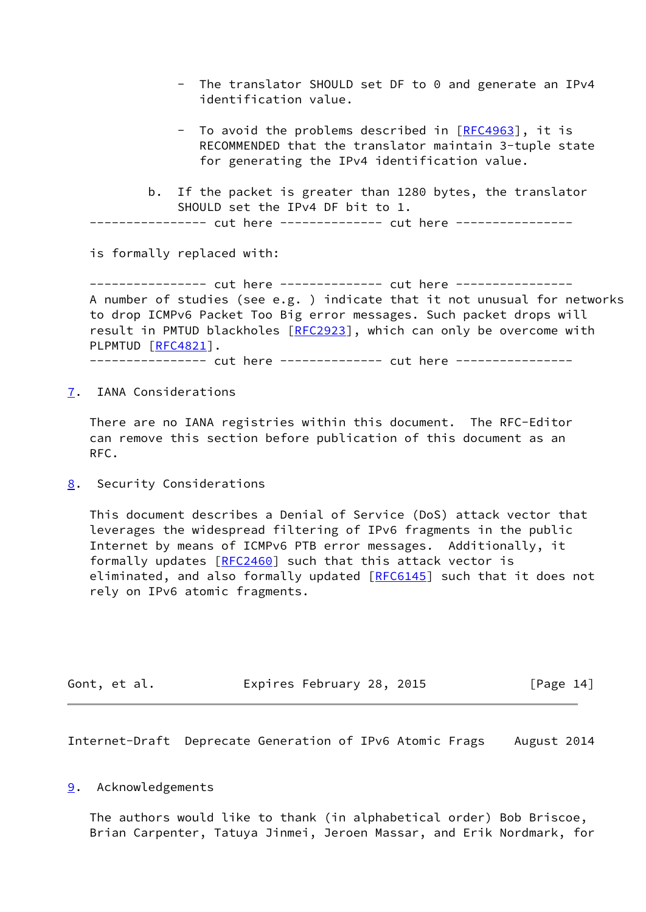- The translator SHOULD set DF to 0 and generate an IPv4 identification value.
- To avoid the problems described in [[RFC4963](https://datatracker.ietf.org/doc/pdf/rfc4963)], it is RECOMMENDED that the translator maintain 3-tuple state for generating the IPv4 identification value.
- b. If the packet is greater than 1280 bytes, the translator SHOULD set the IPv4 DF bit to 1.

--------- cut here -------------- cut here ----------------

is formally replaced with:

--------------- cut here ------------- cut here ---------------- A number of studies (see e.g. ) indicate that it not unusual for networks to drop ICMPv6 Packet Too Big error messages. Such packet drops will result in PMTUD blackholes [[RFC2923\]](https://datatracker.ietf.org/doc/pdf/rfc2923), which can only be overcome with PLPMTUD [\[RFC4821](https://datatracker.ietf.org/doc/pdf/rfc4821)]. --------------- cut here ------------- cut here ----------------

<span id="page-15-0"></span>[7](#page-15-0). IANA Considerations

 There are no IANA registries within this document. The RFC-Editor can remove this section before publication of this document as an RFC.

<span id="page-15-1"></span>[8](#page-15-1). Security Considerations

 This document describes a Denial of Service (DoS) attack vector that leverages the widespread filtering of IPv6 fragments in the public Internet by means of ICMPv6 PTB error messages. Additionally, it formally updates [\[RFC2460](https://datatracker.ietf.org/doc/pdf/rfc2460)] such that this attack vector is eliminated, and also formally updated [[RFC6145](https://datatracker.ietf.org/doc/pdf/rfc6145)] such that it does not rely on IPv6 atomic fragments.

| Gont, et al. | Expires February 28, 2015 |  | [Page 14] |
|--------------|---------------------------|--|-----------|
|--------------|---------------------------|--|-----------|

<span id="page-15-3"></span>Internet-Draft Deprecate Generation of IPv6 Atomic Frags August 2014

#### <span id="page-15-2"></span>[9](#page-15-2). Acknowledgements

 The authors would like to thank (in alphabetical order) Bob Briscoe, Brian Carpenter, Tatuya Jinmei, Jeroen Massar, and Erik Nordmark, for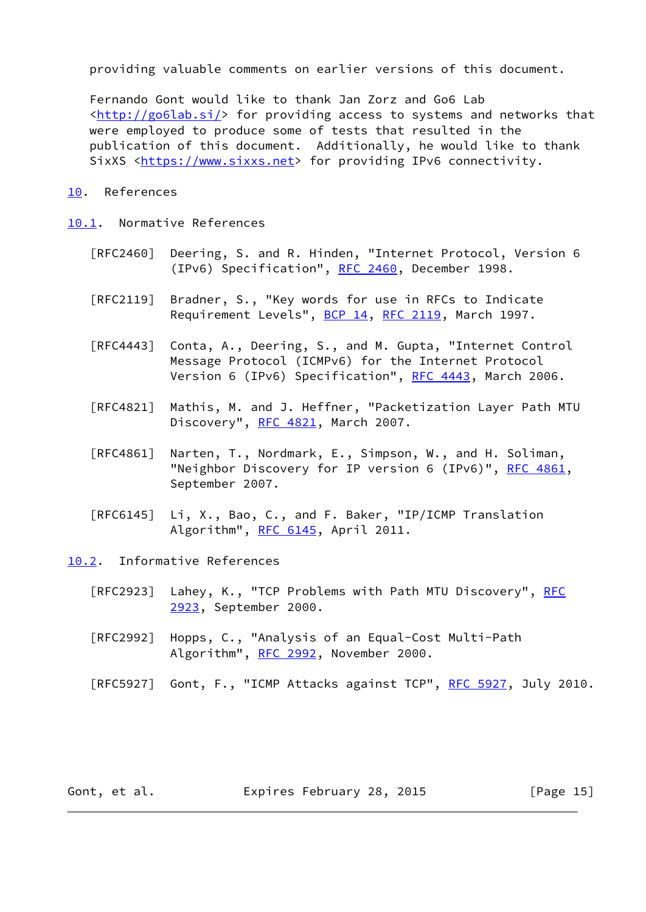providing valuable comments on earlier versions of this document.

 Fernando Gont would like to thank Jan Zorz and Go6 Lab  $\frac{\text{tht}}{\text{t}}/ \text{goflab.si}}$  for providing access to systems and networks that were employed to produce some of tests that resulted in the publication of this document. Additionally, he would like to thank SixXS <[https://www.sixxs.net>](https://www.sixxs.net) for providing IPv6 connectivity.

# <span id="page-16-0"></span>[10.](#page-16-0) References

# <span id="page-16-1"></span>[10.1](#page-16-1). Normative References

- [RFC2460] Deering, S. and R. Hinden, "Internet Protocol, Version 6 (IPv6) Specification", [RFC 2460](https://datatracker.ietf.org/doc/pdf/rfc2460), December 1998.
- [RFC2119] Bradner, S., "Key words for use in RFCs to Indicate Requirement Levels", [BCP 14](https://datatracker.ietf.org/doc/pdf/bcp14), [RFC 2119](https://datatracker.ietf.org/doc/pdf/rfc2119), March 1997.
- [RFC4443] Conta, A., Deering, S., and M. Gupta, "Internet Control Message Protocol (ICMPv6) for the Internet Protocol Version 6 (IPv6) Specification", [RFC 4443,](https://datatracker.ietf.org/doc/pdf/rfc4443) March 2006.
- [RFC4821] Mathis, M. and J. Heffner, "Packetization Layer Path MTU Discovery", [RFC 4821,](https://datatracker.ietf.org/doc/pdf/rfc4821) March 2007.
- [RFC4861] Narten, T., Nordmark, E., Simpson, W., and H. Soliman, "Neighbor Discovery for IP version 6 (IPv6)", [RFC 4861](https://datatracker.ietf.org/doc/pdf/rfc4861), September 2007.
- [RFC6145] Li, X., Bao, C., and F. Baker, "IP/ICMP Translation Algorithm", [RFC 6145,](https://datatracker.ietf.org/doc/pdf/rfc6145) April 2011.

<span id="page-16-2"></span>[10.2](#page-16-2). Informative References

- [RFC2923] Lahey, K., "TCP Problems with Path MTU Discovery", [RFC](https://datatracker.ietf.org/doc/pdf/rfc2923) [2923,](https://datatracker.ietf.org/doc/pdf/rfc2923) September 2000.
- [RFC2992] Hopps, C., "Analysis of an Equal-Cost Multi-Path Algorithm", [RFC 2992,](https://datatracker.ietf.org/doc/pdf/rfc2992) November 2000.
- [RFC5927] Gont, F., "ICMP Attacks against TCP", [RFC 5927](https://datatracker.ietf.org/doc/pdf/rfc5927), July 2010.

Gont, et al. Expires February 28, 2015 [Page 15]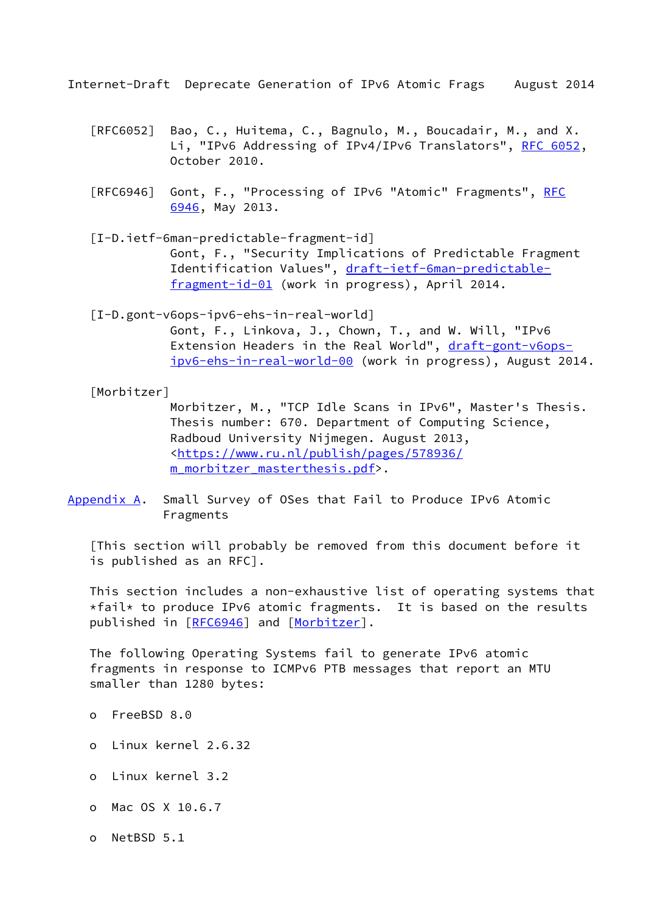- <span id="page-17-1"></span> [RFC6052] Bao, C., Huitema, C., Bagnulo, M., Boucadair, M., and X. Li, "IPv6 Addressing of IPv4/IPv6 Translators", [RFC 6052,](https://datatracker.ietf.org/doc/pdf/rfc6052) October 2010.
- [RFC6946] Gont, F., "Processing of IPv6 "Atomic" Fragments", [RFC](https://datatracker.ietf.org/doc/pdf/rfc6946) [6946,](https://datatracker.ietf.org/doc/pdf/rfc6946) May 2013.
- <span id="page-17-3"></span> [I-D.ietf-6man-predictable-fragment-id] Gont, F., "Security Implications of Predictable Fragment Identification Values", [draft-ietf-6man-predictable](https://datatracker.ietf.org/doc/pdf/draft-ietf-6man-predictable-fragment-id-01) [fragment-id-01](https://datatracker.ietf.org/doc/pdf/draft-ietf-6man-predictable-fragment-id-01) (work in progress), April 2014.
- <span id="page-17-2"></span> [I-D.gont-v6ops-ipv6-ehs-in-real-world] Gont, F., Linkova, J., Chown, T., and W. Will, "IPv6 Extension Headers in the Real World", [draft-gont-v6ops](https://datatracker.ietf.org/doc/pdf/draft-gont-v6ops-ipv6-ehs-in-real-world-00) [ipv6-ehs-in-real-world-00](https://datatracker.ietf.org/doc/pdf/draft-gont-v6ops-ipv6-ehs-in-real-world-00) (work in progress), August 2014.

<span id="page-17-4"></span>[Morbitzer]

 Morbitzer, M., "TCP Idle Scans in IPv6", Master's Thesis. Thesis number: 670. Department of Computing Science, Radboud University Nijmegen. August 2013, <[https://www.ru.nl/publish/pages/578936/](https://www.ru.nl/publish/pages/578936/m_morbitzer_masterthesis.pdf) [m\\_morbitzer\\_masterthesis.pdf>](https://www.ru.nl/publish/pages/578936/m_morbitzer_masterthesis.pdf).

<span id="page-17-0"></span>[Appendix A.](#page-17-0) Small Survey of OSes that Fail to Produce IPv6 Atomic Fragments

 [This section will probably be removed from this document before it is published as an RFC].

 This section includes a non-exhaustive list of operating systems that  $*fail*$  to produce IPv6 atomic fragments. It is based on the results published in [\[RFC6946](https://datatracker.ietf.org/doc/pdf/rfc6946)] and [[Morbitzer\]](#page-17-4).

 The following Operating Systems fail to generate IPv6 atomic fragments in response to ICMPv6 PTB messages that report an MTU smaller than 1280 bytes:

- o FreeBSD 8.0
- o Linux kernel 2.6.32
- o Linux kernel 3.2
- o Mac OS X 10.6.7
- o NetBSD 5.1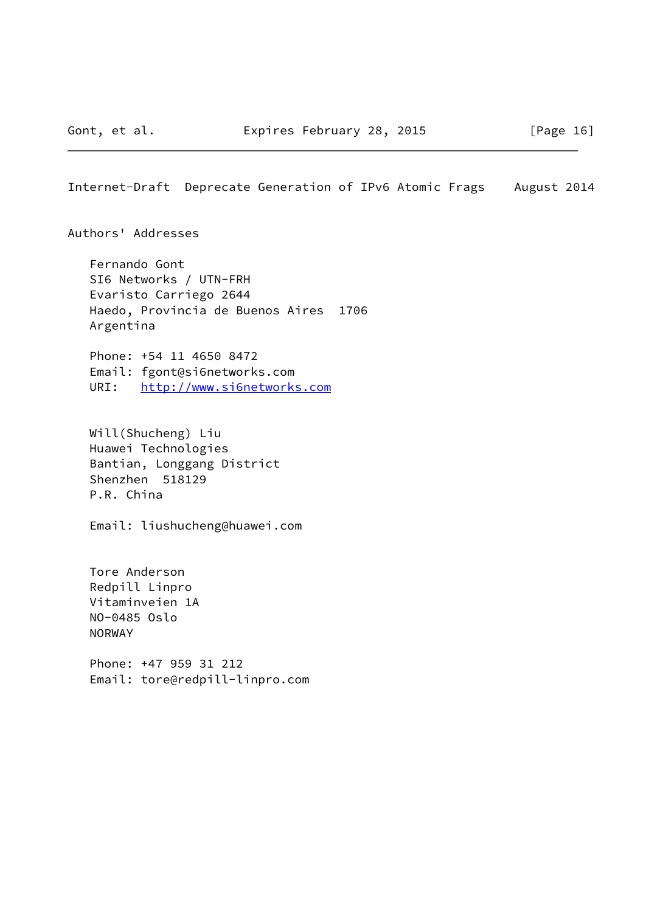<span id="page-18-0"></span>Authors' Addresses

 Fernando Gont SI6 Networks / UTN-FRH Evaristo Carriego 2644 Haedo, Provincia de Buenos Aires 1706 Argentina

 Phone: +54 11 4650 8472 Email: fgont@si6networks.com URI: <http://www.si6networks.com>

 Will(Shucheng) Liu Huawei Technologies Bantian, Longgang District Shenzhen 518129 P.R. China

Email: liushucheng@huawei.com

 Tore Anderson Redpill Linpro Vitaminveien 1A NO-0485 Oslo NORWAY

 Phone: +47 959 31 212 Email: tore@redpill-linpro.com